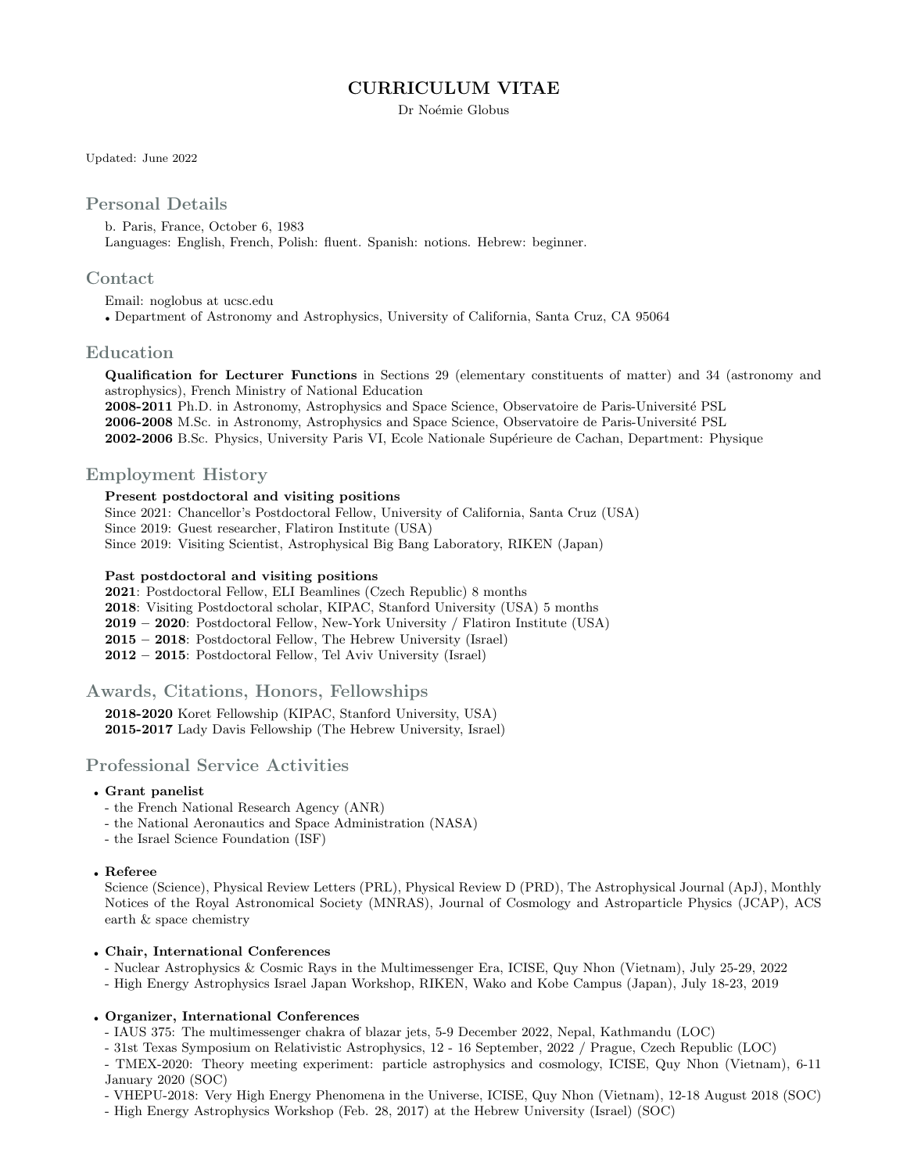# CURRICULUM VITAE

Dr Noémie Globus

Updated: June 2022

## Personal Details

b. Paris, France, October 6, 1983 Languages: English, French, Polish: fluent. Spanish: notions. Hebrew: beginner.

#### Contact

Email: noglobus at ucsc.edu

• Department of Astronomy and Astrophysics, University of California, Santa Cruz, CA 95064

### Education

Qualification for Lecturer Functions in Sections 29 (elementary constituents of matter) and 34 (astronomy and astrophysics), French Ministry of National Education 2008-2011 Ph.D. in Astronomy, Astrophysics and Space Science, Observatoire de Paris-Université PSL 2006-2008 M.Sc. in Astronomy, Astrophysics and Space Science, Observatoire de Paris-Université PSL

2002-2006 B.Sc. Physics, University Paris VI, Ecole Nationale Supérieure de Cachan, Department: Physique

## Employment History

#### Present postdoctoral and visiting positions

Since 2021: Chancellor's Postdoctoral Fellow, University of California, Santa Cruz (USA) Since 2019: Guest researcher, Flatiron Institute (USA) Since 2019: Visiting Scientist, Astrophysical Big Bang Laboratory, RIKEN (Japan)

#### Past postdoctoral and visiting positions

2021: Postdoctoral Fellow, ELI Beamlines (Czech Republic) 8 months 2018: Visiting Postdoctoral scholar, KIPAC, Stanford University (USA) 5 months 2019 – 2020: Postdoctoral Fellow, New-York University / Flatiron Institute (USA) 2015 – 2018: Postdoctoral Fellow, The Hebrew University (Israel) 2012 – 2015: Postdoctoral Fellow, Tel Aviv University (Israel)

## Awards, Citations, Honors, Fellowships

2018-2020 Koret Fellowship (KIPAC, Stanford University, USA) 2015-2017 Lady Davis Fellowship (The Hebrew University, Israel)

## Professional Service Activities

#### • Grant panelist

- the French National Research Agency (ANR)
- the National Aeronautics and Space Administration (NASA)
- the Israel Science Foundation (ISF)

#### • Referee

Science (Science), Physical Review Letters (PRL), Physical Review D (PRD), The Astrophysical Journal (ApJ), Monthly Notices of the Royal Astronomical Society (MNRAS), Journal of Cosmology and Astroparticle Physics (JCAP), ACS earth & space chemistry

#### • Chair, International Conferences

- Nuclear Astrophysics & Cosmic Rays in the Multimessenger Era, ICISE, Quy Nhon (Vietnam), July 25-29, 2022

- High Energy Astrophysics Israel Japan Workshop, RIKEN, Wako and Kobe Campus (Japan), July 18-23, 2019

### • Organizer, International Conferences

- IAUS 375: The multimessenger chakra of blazar jets, 5-9 December 2022, Nepal, Kathmandu (LOC)
- 31st Texas Symposium on Relativistic Astrophysics, 12 16 September, 2022 / Prague, Czech Republic (LOC)
- TMEX-2020: Theory meeting experiment: particle astrophysics and cosmology, ICISE, Quy Nhon (Vietnam), 6-11 January 2020 (SOC)
- VHEPU-2018: Very High Energy Phenomena in the Universe, ICISE, Quy Nhon (Vietnam), 12-18 August 2018 (SOC)
- High Energy Astrophysics Workshop (Feb. 28, 2017) at the Hebrew University (Israel) (SOC)